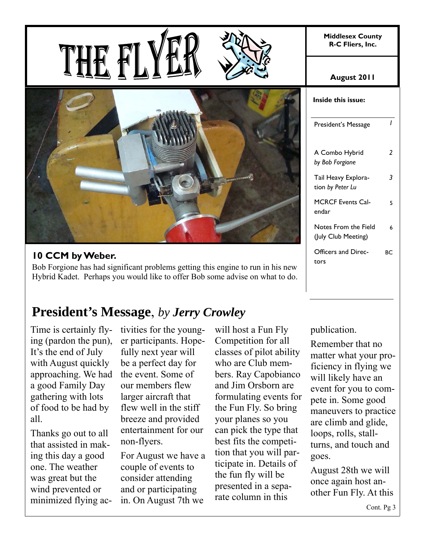**Middlesex County R-C Fliers, Inc.** 







## **10 CCM by Weber.**

Bob Forgione has had significant problems getting this engine to run in his new Hybrid Kadet. Perhaps you would like to offer Bob some advise on what to do.

# **President's Message**, *by Jerry Crowley*

Time is certainly flying (pardon the pun), It's the end of July with August quickly approaching. We had a good Family Day gathering with lots of food to be had by all.

Thanks go out to all that assisted in making this day a good one. The weather was great but the wind prevented or minimized flying activities for the younger participants. Hopefully next year will be a perfect day for the event. Some of our members flew larger aircraft that flew well in the stiff breeze and provided entertainment for our non-flyers.

For August we have a couple of events to consider attending and or participating in. On August 7th we

will host a Fun Fly Competition for all classes of pilot ability who are Club members. Ray Capobianco and Jim Orsborn are formulating events for the Fun Fly. So bring your planes so you can pick the type that best fits the competition that you will participate in. Details of the fun fly will be presented in a separate column in this

#### **August 2011**

| Inside this issue:                          |    |  |  |  |  |
|---------------------------------------------|----|--|--|--|--|
| President's Message                         | ı  |  |  |  |  |
| A Combo Hybrid<br>by Bob Forgione           | 2  |  |  |  |  |
| Tail Heavy Explora-<br>tion by Peter Lu     | 3  |  |  |  |  |
| <b>MCRCF Events Cal-</b><br>endar           | 5  |  |  |  |  |
| Notes From the Field<br>(July Club Meeting) | 6  |  |  |  |  |
| Officers and Direc-<br>tors                 | BС |  |  |  |  |

#### publication.

Remember that no matter what your proficiency in flying we will likely have an event for you to compete in. Some good maneuvers to practice are climb and glide, loops, rolls, stallturns, and touch and goes.

August 28th we will once again host another Fun Fly. At this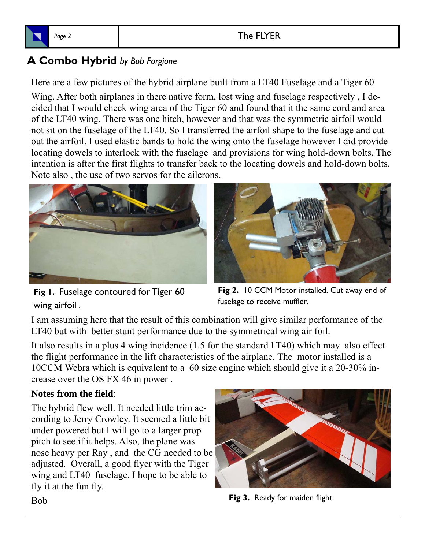

## Page 2 and 2 and 2 and 2 and 2 and 2 and 2 and 2 and 2 and 2 and 2 and 2 and 2 and 2 and 2 and 2 and 2 and 2 and 2 and 2 and 2 and 2 and 2 and 2 and 2 and 2 and 2 and 2 and 2 and 2 and 2 and 2 and 2 and 2 and 2 and 2 and 2

# **A Combo Hybrid** *by Bob Forgione*

Here are a few pictures of the hybrid airplane built from a LT40 Fuselage and a Tiger 60

Wing. After both airplanes in there native form, lost wing and fuselage respectively , I decided that I would check wing area of the Tiger 60 and found that it the same cord and area of the LT40 wing. There was one hitch, however and that was the symmetric airfoil would not sit on the fuselage of the LT40. So I transferred the airfoil shape to the fuselage and cut out the airfoil. I used elastic bands to hold the wing onto the fuselage however I did provide locating dowels to interlock with the fuselage and provisions for wing hold-down bolts. The intention is after the first flights to transfer back to the locating dowels and hold-down bolts. Note also , the use of two servos for the ailerons.



**Fig 1.** Fuselage contoured for Tiger 60 wing airfoil .



**Fig 2.** 10 CCM Motor installed. Cut away end of fuselage to receive muffler.

I am assuming here that the result of this combination will give similar performance of the LT40 but with better stunt performance due to the symmetrical wing air foil.

It also results in a plus 4 wing incidence (1.5 for the standard LT40) which may also effect the flight performance in the lift characteristics of the airplane. The motor installed is a 10CCM Webra which is equivalent to a 60 size engine which should give it a 20-30% increase over the OS FX 46 in power .

## **Notes from the field**:

The hybrid flew well. It needed little trim according to Jerry Crowley. It seemed a little bit under powered but I will go to a larger prop pitch to see if it helps. Also, the plane was nose heavy per Ray , and the CG needed to be adjusted. Overall, a good flyer with the Tiger wing and LT40 fuselage. I hope to be able to fly it at the fun fly.



**Fig 3.** Ready for maiden flight.

Bob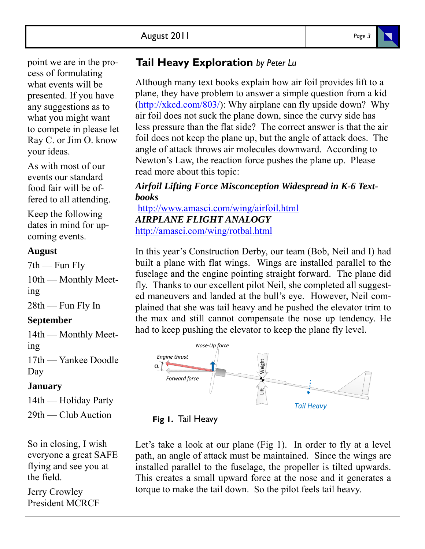point we are in the process of formulating what events will be presented. If you have any suggestions as to what you might want to compete in please let Ray C. or Jim O. know your ideas.

As with most of our events our standard food fair will be offered to all attending.

Keep the following dates in mind for upcoming events.

### **August**

 $7th$  — Fun Fly 10th — Monthly Meeting 28th — Fun Fly In

#### **September**

14th — Monthly Meeting

17th — Yankee Doodle Day

## **January**

14th — Holiday Party

29th — Club Auction

So in closing, I wish everyone a great SAFE flying and see you at the field.

Jerry Crowley President MCRCF

## **Tail Heavy Exploration** *by Peter Lu*

Although many text books explain how air foil provides lift to a plane, they have problem to answer a simple question from a kid (http://xkcd.com/803/): Why airplane can fly upside down? Why air foil does not suck the plane down, since the curvy side has less pressure than the flat side? The correct answer is that the air foil does not keep the plane up, but the angle of attack does. The angle of attack throws air molecules downward. According to Newton's Law, the reaction force pushes the plane up. Please read more about this topic:

### *Airfoil Lifting Force Misconception Widespread in K-6 Textbooks*

http://www.amasci.com/wing/airfoil.html *AIRPLANE FLIGHT ANALOGY* http://amasci.com/wing/rotbal.html

In this year's Construction Derby, our team (Bob, Neil and I) had built a plane with flat wings. Wings are installed parallel to the fuselage and the engine pointing straight forward. The plane did fly. Thanks to our excellent pilot Neil, she completed all suggested maneuvers and landed at the bull's eye. However, Neil complained that she was tail heavy and he pushed the elevator trim to the max and still cannot compensate the nose up tendency. He had to keep pushing the elevator to keep the plane fly level.





Let's take a look at our plane (Fig 1). In order to fly at a level path, an angle of attack must be maintained. Since the wings are installed parallel to the fuselage, the propeller is tilted upwards. This creates a small upward force at the nose and it generates a torque to make the tail down. So the pilot feels tail heavy.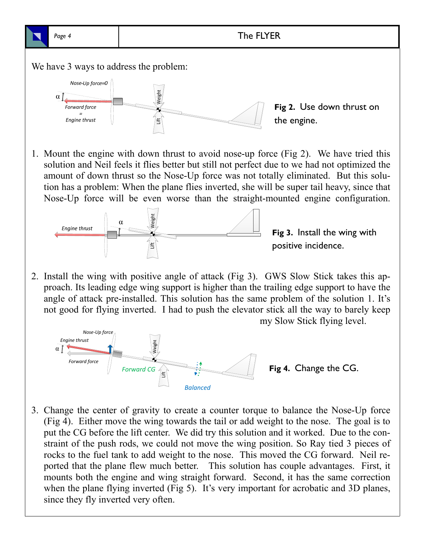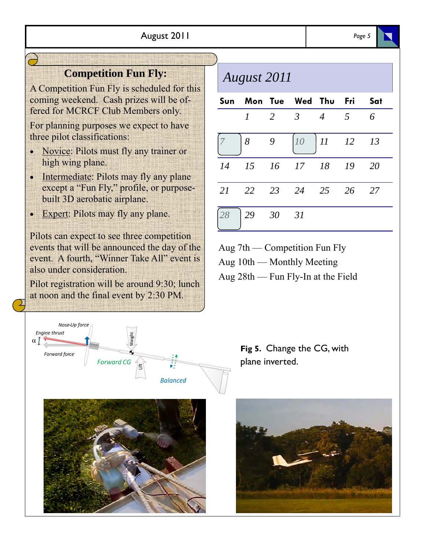## **Competition Fun Fly:**

A Competition Fun Fly is scheduled for this coming weekend. Cash prizes will be offered for MCRCF Club Members only.

For planning purposes we expect to have three pilot classifications:

- Novice: Pilots must fly any trainer or high wing plane.
- Intermediate: Pilots may fly any plane except a "Fun Fly," profile, or purposebuilt 3D aerobatic airplane.
- Expert: Pilots may fly any plane.

Pilots can expect to see three competition events that will be announced the day of the event. A fourth, "Winner Take All" event is also under consideration.

Pilot registration will be around 9:30; lunch at noon and the final event by 2:30 PM.





# *August 2011*

|                                                   | Sun Mon Tue Wed Thu Fri Sat                                          |  |  |
|---------------------------------------------------|----------------------------------------------------------------------|--|--|
|                                                   | $1 \quad 2 \quad 3 \quad 4 \quad 5 \quad 6$                          |  |  |
|                                                   | $\begin{array}{c ccccc}\n7 & 8 & 9 & 10 & 11 & 12 & 13\n\end{array}$ |  |  |
|                                                   | 14 15 16 17 18 19 20                                                 |  |  |
|                                                   | 21 22 23 24 25 26 27                                                 |  |  |
| $\begin{vmatrix} 28 & 29 & 30 & 31 \end{vmatrix}$ |                                                                      |  |  |

Aug 7th — Competition Fun Fly

Aug 10th — Monthly Meeting

Aug 28th — Fun Fly-In at the Field

**Fig 5.** Change the CG, with plane inverted.

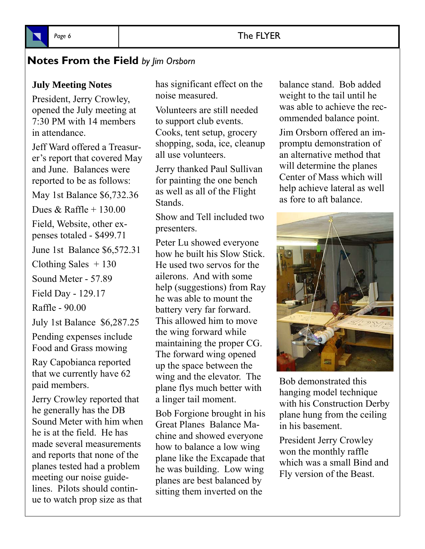## Page 6 **The FLYER**



## **Notes From the Field** *by Jim Orsborn*

#### **July Meeting Notes**

President, Jerry Crowley, opened the July meeting at 7:30 PM with 14 members in attendance.

Jeff Ward offered a Treasurer's report that covered May and June. Balances were reported to be as follows:

May 1st Balance \$6,732.36

Dues & Raffle + 130.00

Field, Website, other expenses totaled - \$499.71

June 1st Balance \$6,572.31

Clothing Sales  $+130$ 

Sound Meter - 57.89

Field Day - 129.17

Raffle - 90.00

July 1st Balance \$6,287.25

Pending expenses include Food and Grass mowing

Ray Capobianca reported that we currently have 62 paid members.

Jerry Crowley reported that he generally has the DB Sound Meter with him when he is at the field. He has made several measurements and reports that none of the planes tested had a problem meeting our noise guidelines. Pilots should continue to watch prop size as that

has significant effect on the noise measured.

Volunteers are still needed to support club events. Cooks, tent setup, grocery shopping, soda, ice, cleanup all use volunteers.

Jerry thanked Paul Sullivan for painting the one bench as well as all of the Flight Stands.

Show and Tell included two presenters.

Peter Lu showed everyone how he built his Slow Stick. He used two servos for the ailerons. And with some help (suggestions) from Ray he was able to mount the battery very far forward. This allowed him to move the wing forward while maintaining the proper CG. The forward wing opened up the space between the wing and the elevator. The plane flys much better with a linger tail moment.

Bob Forgione brought in his Great Planes Balance Machine and showed everyone how to balance a low wing plane like the Excapade that he was building. Low wing planes are best balanced by sitting them inverted on the

balance stand. Bob added weight to the tail until he was able to achieve the recommended balance point.

Jim Orsborn offered an impromptu demonstration of an alternative method that will determine the planes Center of Mass which will help achieve lateral as well as fore to aft balance.



Bob demonstrated this hanging model technique with his Construction Derby plane hung from the ceiling in his basement.

President Jerry Crowley won the monthly raffle which was a small Bind and Fly version of the Beast.